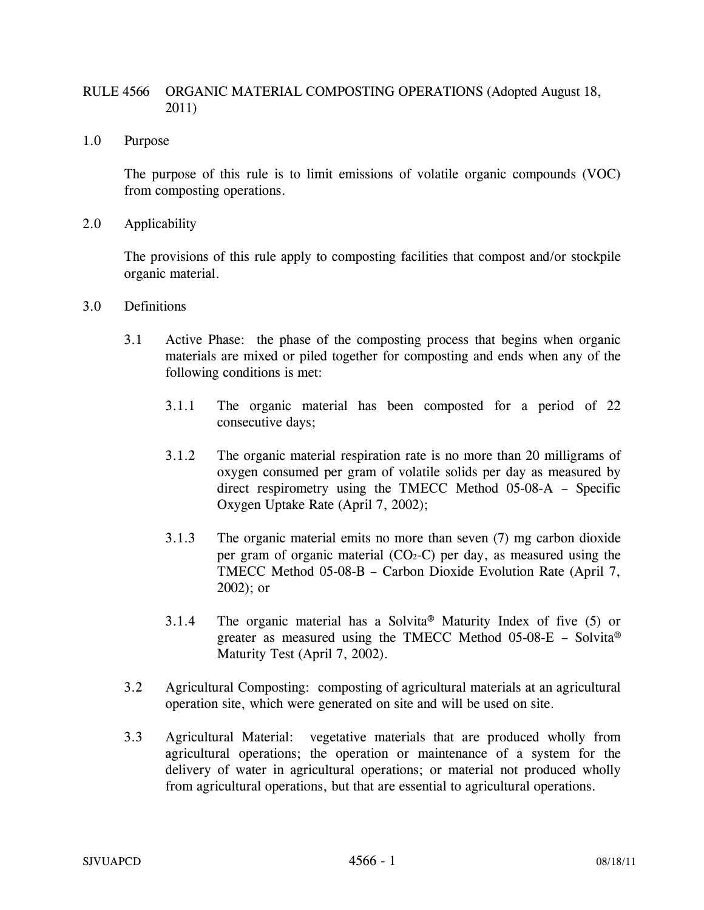# RULE 4566 ORGANIC MATERIAL COMPOSTING OPERATIONS (Adopted August 18, 2011)

1.0 Purpose

The purpose of this rule is to limit emissions of volatile organic compounds (VOC) from composting operations.

2.0 Applicability

The provisions of this rule apply to composting facilities that compost and/or stockpile organic material.

- 3.0 Definitions
	- 3.1 Active Phase: the phase of the composting process that begins when organic materials are mixed or piled together for composting and ends when any of the following conditions is met:
		- 3.1.1 The organic material has been composted for a period of 22 consecutive days;
		- 3.1.2 The organic material respiration rate is no more than 20 milligrams of oxygen consumed per gram of volatile solids per day as measured by direct respirometry using the TMECC Method 05-08-A – Specific Oxygen Uptake Rate (April 7, 2002);
		- 3.1.3 The organic material emits no more than seven (7) mg carbon dioxide per gram of organic material  $(CO<sub>2</sub>-C)$  per day, as measured using the TMECC Method 05-08-B – Carbon Dioxide Evolution Rate (April 7, 2002); or
		- 3.1.4 The organic material has a Solvita® Maturity Index of five (5) or greater as measured using the TMECC Method 05-08-E – Solvita® Maturity Test (April 7, 2002).
	- 3.2 Agricultural Composting: composting of agricultural materials at an agricultural operation site, which were generated on site and will be used on site.
	- 3.3 Agricultural Material: vegetative materials that are produced wholly from agricultural operations; the operation or maintenance of a system for the delivery of water in agricultural operations; or material not produced wholly from agricultural operations, but that are essential to agricultural operations.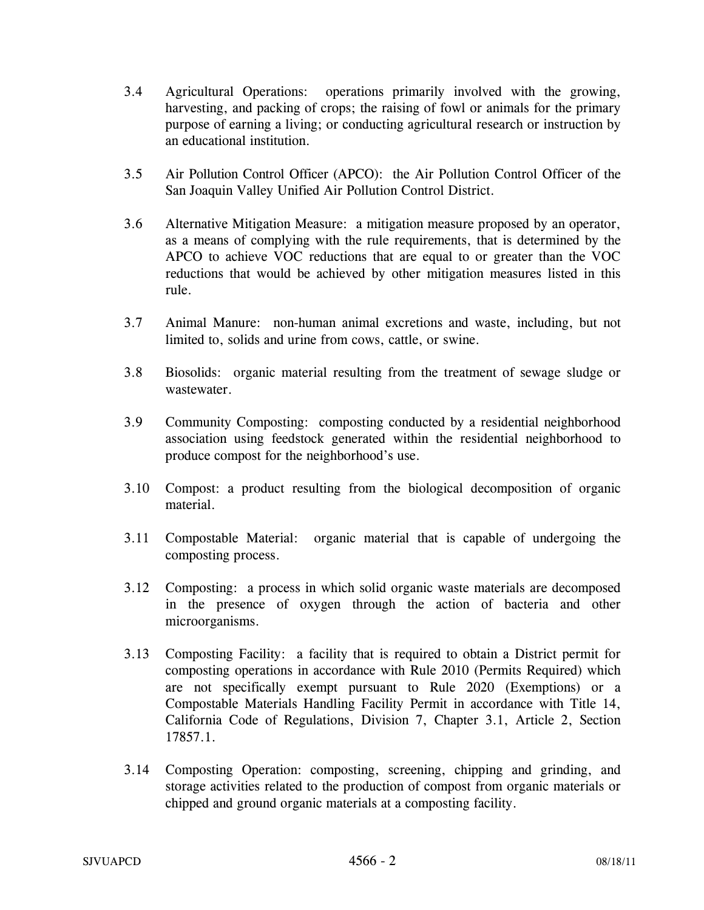- 3.4 Agricultural Operations: operations primarily involved with the growing, harvesting, and packing of crops; the raising of fowl or animals for the primary purpose of earning a living; or conducting agricultural research or instruction by an educational institution.
- 3.5 Air Pollution Control Officer (APCO): the Air Pollution Control Officer of the San Joaquin Valley Unified Air Pollution Control District.
- 3.6 Alternative Mitigation Measure: a mitigation measure proposed by an operator, as a means of complying with the rule requirements, that is determined by the APCO to achieve VOC reductions that are equal to or greater than the VOC reductions that would be achieved by other mitigation measures listed in this rule.
- 3.7 Animal Manure: non-human animal excretions and waste, including, but not limited to, solids and urine from cows, cattle, or swine.
- 3.8 Biosolids: organic material resulting from the treatment of sewage sludge or wastewater.
- 3.9 Community Composting: composting conducted by a residential neighborhood association using feedstock generated within the residential neighborhood to produce compost for the neighborhood's use.
- 3.10 Compost: a product resulting from the biological decomposition of organic material.
- 3.11 Compostable Material: organic material that is capable of undergoing the composting process.
- 3.12 Composting: a process in which solid organic waste materials are decomposed in the presence of oxygen through the action of bacteria and other microorganisms.
- 3.13 Composting Facility: a facility that is required to obtain a District permit for composting operations in accordance with Rule 2010 (Permits Required) which are not specifically exempt pursuant to Rule 2020 (Exemptions) or a Compostable Materials Handling Facility Permit in accordance with Title 14, California Code of Regulations, Division 7, Chapter 3.1, Article 2, Section 17857.1.
- 3.14 Composting Operation: composting, screening, chipping and grinding, and storage activities related to the production of compost from organic materials or chipped and ground organic materials at a composting facility.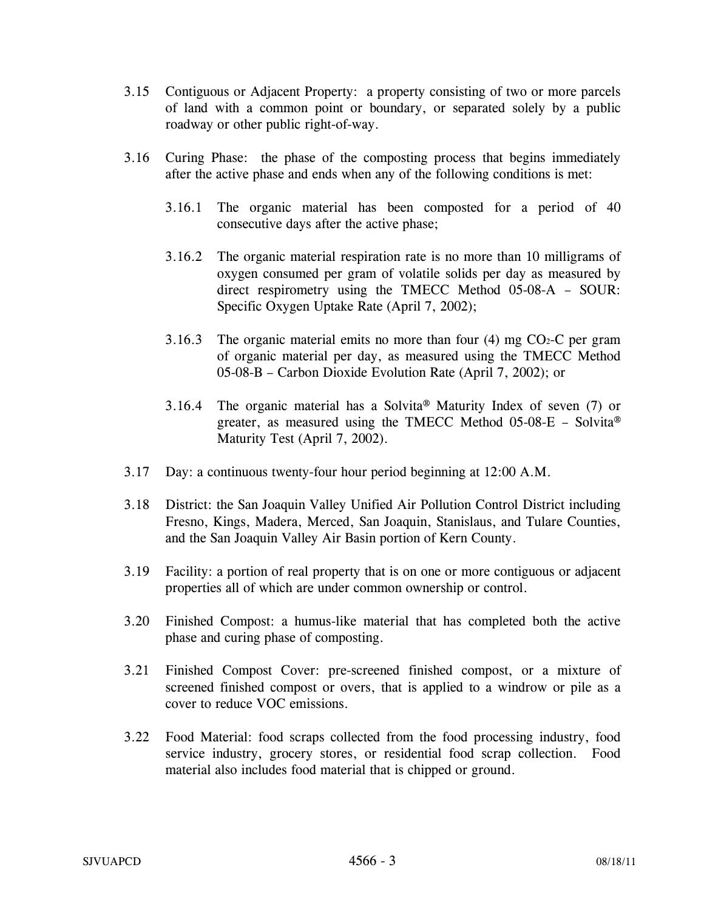- 3.15 Contiguous or Adjacent Property: a property consisting of two or more parcels of land with a common point or boundary, or separated solely by a public roadway or other public right-of-way.
- 3.16 Curing Phase: the phase of the composting process that begins immediately after the active phase and ends when any of the following conditions is met:
	- 3.16.1 The organic material has been composted for a period of 40 consecutive days after the active phase;
	- 3.16.2 The organic material respiration rate is no more than 10 milligrams of oxygen consumed per gram of volatile solids per day as measured by direct respirometry using the TMECC Method 05-08-A – SOUR: Specific Oxygen Uptake Rate (April 7, 2002);
	- 3.16.3 The organic material emits no more than four  $(4)$  mg CO<sub>2</sub>-C per gram of organic material per day, as measured using the TMECC Method 05-08-B – Carbon Dioxide Evolution Rate (April 7, 2002); or
	- 3.16.4 The organic material has a Solvita® Maturity Index of seven (7) or greater, as measured using the TMECC Method  $05-08-E$  – Solvita® Maturity Test (April 7, 2002).
- 3.17 Day: a continuous twenty-four hour period beginning at 12:00 A.M.
- 3.18 District: the San Joaquin Valley Unified Air Pollution Control District including Fresno, Kings, Madera, Merced, San Joaquin, Stanislaus, and Tulare Counties, and the San Joaquin Valley Air Basin portion of Kern County.
- 3.19 Facility: a portion of real property that is on one or more contiguous or adjacent properties all of which are under common ownership or control.
- 3.20 Finished Compost: a humus-like material that has completed both the active phase and curing phase of composting.
- 3.21 Finished Compost Cover: pre-screened finished compost, or a mixture of screened finished compost or overs, that is applied to a windrow or pile as a cover to reduce VOC emissions.
- 3.22 Food Material: food scraps collected from the food processing industry, food service industry, grocery stores, or residential food scrap collection. Food material also includes food material that is chipped or ground.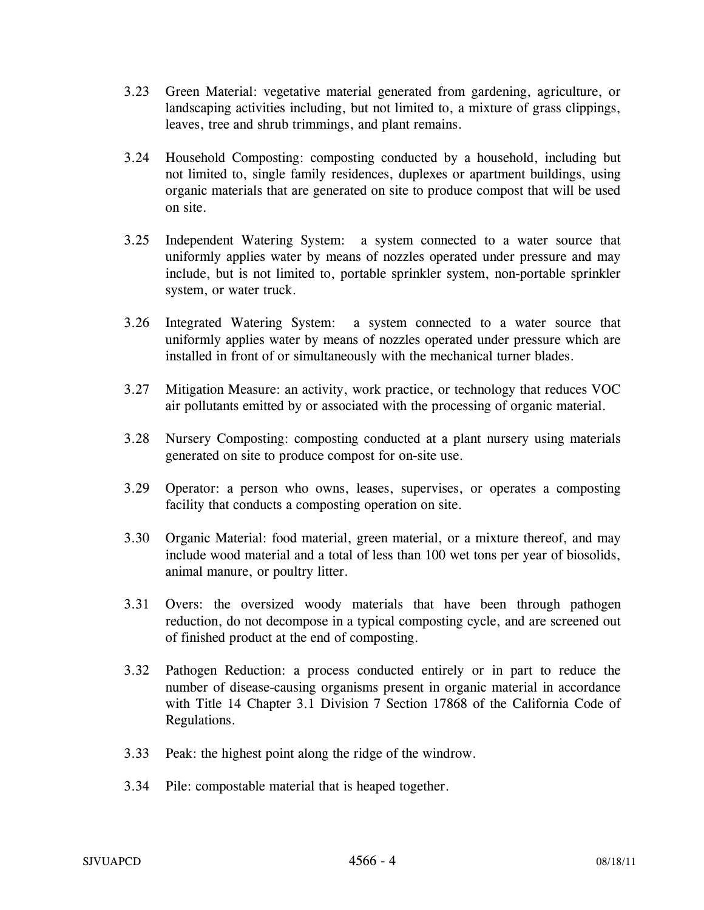- 3.23 Green Material: vegetative material generated from gardening, agriculture, or landscaping activities including, but not limited to, a mixture of grass clippings, leaves, tree and shrub trimmings, and plant remains.
- 3.24 Household Composting: composting conducted by a household, including but not limited to, single family residences, duplexes or apartment buildings, using organic materials that are generated on site to produce compost that will be used on site.
- 3.25 Independent Watering System: a system connected to a water source that uniformly applies water by means of nozzles operated under pressure and may include, but is not limited to, portable sprinkler system, non-portable sprinkler system, or water truck.
- 3.26 Integrated Watering System: a system connected to a water source that uniformly applies water by means of nozzles operated under pressure which are installed in front of or simultaneously with the mechanical turner blades.
- 3.27 Mitigation Measure: an activity, work practice, or technology that reduces VOC air pollutants emitted by or associated with the processing of organic material.
- 3.28 Nursery Composting: composting conducted at a plant nursery using materials generated on site to produce compost for on-site use.
- 3.29 Operator: a person who owns, leases, supervises, or operates a composting facility that conducts a composting operation on site.
- 3.30 Organic Material: food material, green material, or a mixture thereof, and may include wood material and a total of less than 100 wet tons per year of biosolids, animal manure, or poultry litter.
- 3.31 Overs: the oversized woody materials that have been through pathogen reduction, do not decompose in a typical composting cycle, and are screened out of finished product at the end of composting.
- 3.32 Pathogen Reduction: a process conducted entirely or in part to reduce the number of disease-causing organisms present in organic material in accordance with Title 14 Chapter 3.1 Division 7 Section 17868 of the California Code of Regulations.
- 3.33 Peak: the highest point along the ridge of the windrow.
- 3.34 Pile: compostable material that is heaped together.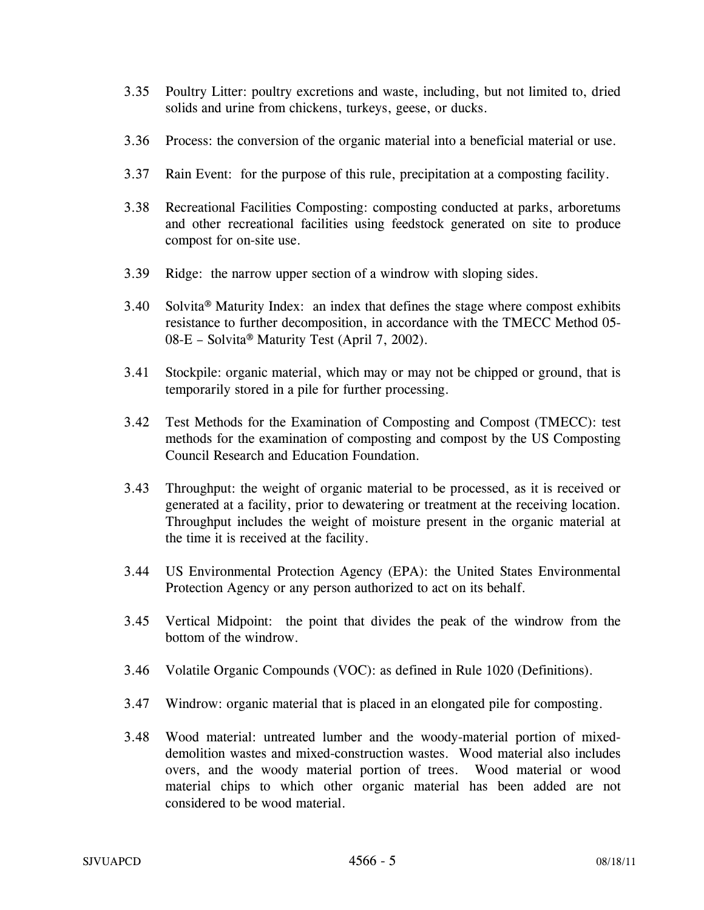- 3.35 Poultry Litter: poultry excretions and waste, including, but not limited to, dried solids and urine from chickens, turkeys, geese, or ducks.
- 3.36 Process: the conversion of the organic material into a beneficial material or use.
- 3.37 Rain Event: for the purpose of this rule, precipitation at a composting facility.
- 3.38 Recreational Facilities Composting: composting conducted at parks, arboretums and other recreational facilities using feedstock generated on site to produce compost for on-site use.
- 3.39 Ridge: the narrow upper section of a windrow with sloping sides.
- 3.40 Solvita® Maturity Index: an index that defines the stage where compost exhibits resistance to further decomposition, in accordance with the TMECC Method 05- 08-E – Solvita® Maturity Test (April 7, 2002).
- 3.41 Stockpile: organic material, which may or may not be chipped or ground, that is temporarily stored in a pile for further processing.
- 3.42 Test Methods for the Examination of Composting and Compost (TMECC): test methods for the examination of composting and compost by the US Composting Council Research and Education Foundation.
- 3.43 Throughput: the weight of organic material to be processed, as it is received or generated at a facility, prior to dewatering or treatment at the receiving location. Throughput includes the weight of moisture present in the organic material at the time it is received at the facility.
- 3.44 US Environmental Protection Agency (EPA): the United States Environmental Protection Agency or any person authorized to act on its behalf.
- 3.45 Vertical Midpoint: the point that divides the peak of the windrow from the bottom of the windrow.
- 3.46 Volatile Organic Compounds (VOC): as defined in Rule 1020 (Definitions).
- 3.47 Windrow: organic material that is placed in an elongated pile for composting.
- 3.48 Wood material: untreated lumber and the woody-material portion of mixeddemolition wastes and mixed-construction wastes. Wood material also includes overs, and the woody material portion of trees. Wood material or wood material chips to which other organic material has been added are not considered to be wood material.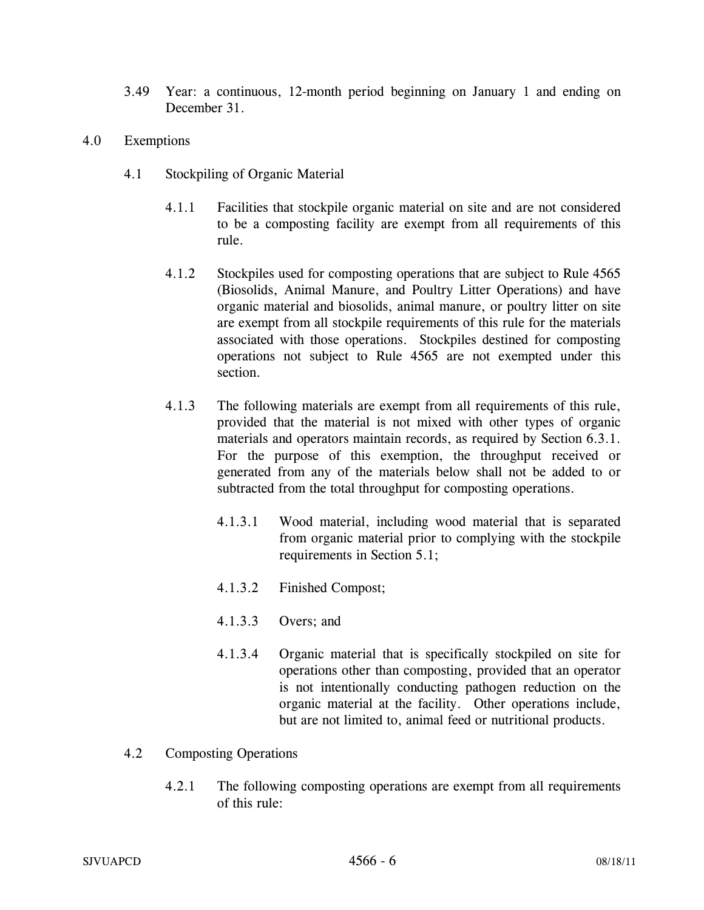- 3.49 Year: a continuous, 12-month period beginning on January 1 and ending on December 31.
- 4.0 Exemptions
	- 4.1 Stockpiling of Organic Material
		- 4.1.1 Facilities that stockpile organic material on site and are not considered to be a composting facility are exempt from all requirements of this rule.
		- 4.1.2 Stockpiles used for composting operations that are subject to Rule 4565 (Biosolids, Animal Manure, and Poultry Litter Operations) and have organic material and biosolids, animal manure, or poultry litter on site are exempt from all stockpile requirements of this rule for the materials associated with those operations. Stockpiles destined for composting operations not subject to Rule 4565 are not exempted under this section.
		- 4.1.3 The following materials are exempt from all requirements of this rule, provided that the material is not mixed with other types of organic materials and operators maintain records, as required by Section 6.3.1. For the purpose of this exemption, the throughput received or generated from any of the materials below shall not be added to or subtracted from the total throughput for composting operations.
			- 4.1.3.1 Wood material, including wood material that is separated from organic material prior to complying with the stockpile requirements in Section 5.1;
			- 4.1.3.2 Finished Compost;
			- 4.1.3.3 Overs; and
			- 4.1.3.4 Organic material that is specifically stockpiled on site for operations other than composting, provided that an operator is not intentionally conducting pathogen reduction on the organic material at the facility. Other operations include, but are not limited to, animal feed or nutritional products.
	- 4.2 Composting Operations
		- 4.2.1 The following composting operations are exempt from all requirements of this rule: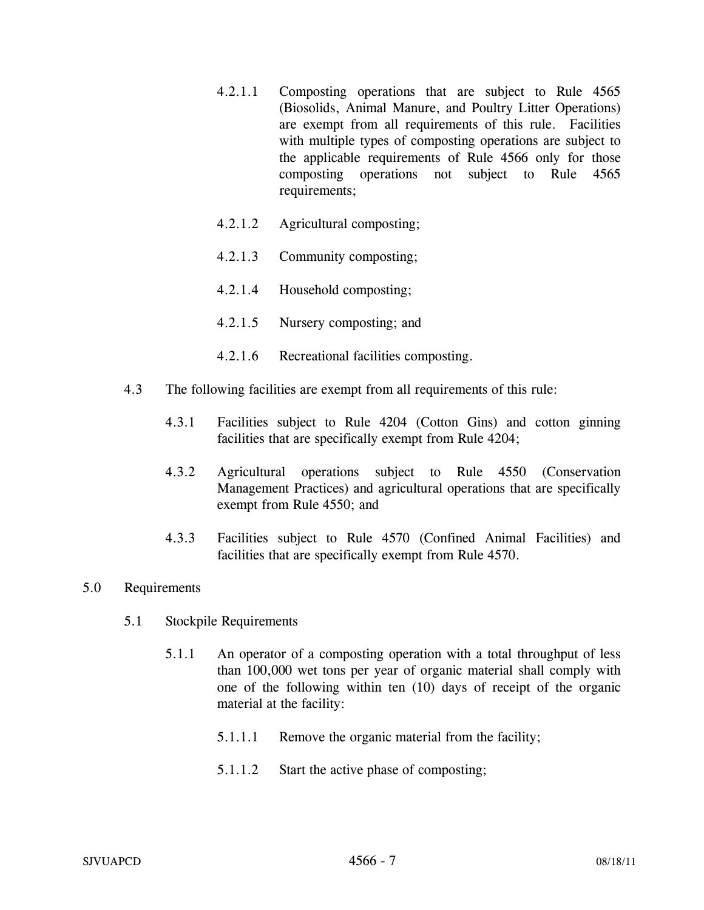- 4.2.1.1 Composting operations that are subject to Rule 4565 (Biosolids, Animal Manure, and Poultry Litter Operations) are exempt from all requirements of this rule. Facilities with multiple types of composting operations are subject to the applicable requirements of Rule 4566 only for those composting operations not subject to Rule 4565 requirements;
- 4.2.1.2 Agricultural composting;
- 4.2.1.3 Community composting;
- 4.2.1.4 Household composting;
- 4.2.1.5 Nursery composting; and
- 4.2.1.6 Recreational facilities composting.
- 4.3 The following facilities are exempt from all requirements of this rule:
	- 4.3.1 Facilities subject to Rule 4204 (Cotton Gins) and cotton ginning facilities that are specifically exempt from Rule 4204;
	- 4.3.2 Agricultural operations subject to Rule 4550 (Conservation Management Practices) and agricultural operations that are specifically exempt from Rule 4550; and
	- 4.3.3 Facilities subject to Rule 4570 (Confined Animal Facilities) and facilities that are specifically exempt from Rule 4570.

### 5.0 Requirements

- 5.1 Stockpile Requirements
	- 5.1.1 An operator of a composting operation with a total throughput of less than 100,000 wet tons per year of organic material shall comply with one of the following within ten (10) days of receipt of the organic material at the facility:
		- 5.1.1.1 Remove the organic material from the facility;
		- 5.1.1.2 Start the active phase of composting;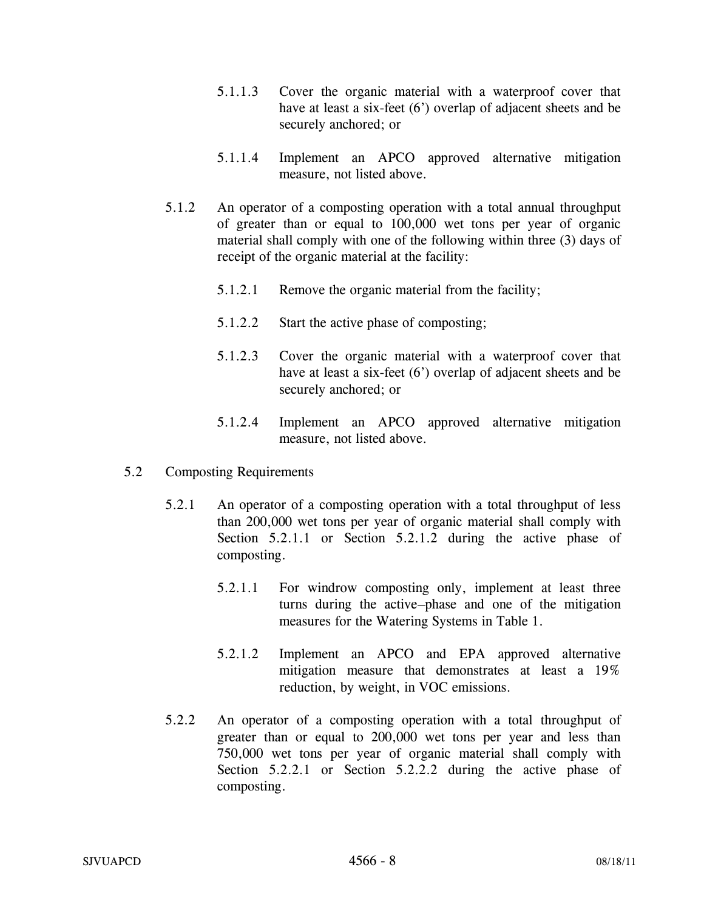- 5.1.1.3 Cover the organic material with a waterproof cover that have at least a six-feet (6<sup>'</sup>) overlap of adjacent sheets and be securely anchored; or
- 5.1.1.4 Implement an APCO approved alternative mitigation measure, not listed above.
- 5.1.2 An operator of a composting operation with a total annual throughput of greater than or equal to 100,000 wet tons per year of organic material shall comply with one of the following within three (3) days of receipt of the organic material at the facility:
	- 5.1.2.1 Remove the organic material from the facility;
	- 5.1.2.2 Start the active phase of composting;
	- 5.1.2.3 Cover the organic material with a waterproof cover that have at least a six-feet (6') overlap of adjacent sheets and be securely anchored; or
	- 5.1.2.4 Implement an APCO approved alternative mitigation measure, not listed above.
- 5.2 Composting Requirements
	- 5.2.1 An operator of a composting operation with a total throughput of less than 200,000 wet tons per year of organic material shall comply with Section 5.2.1.1 or Section 5.2.1.2 during the active phase of composting.
		- 5.2.1.1 For windrow composting only, implement at least three turns during the active phase and one of the mitigation measures for the Watering Systems in Table 1.
		- 5.2.1.2 Implement an APCO and EPA approved alternative mitigation measure that demonstrates at least a 19% reduction, by weight, in VOC emissions.
	- 5.2.2 An operator of a composting operation with a total throughput of greater than or equal to 200,000 wet tons per year and less than 750,000 wet tons per year of organic material shall comply with Section 5.2.2.1 or Section 5.2.2.2 during the active phase of composting.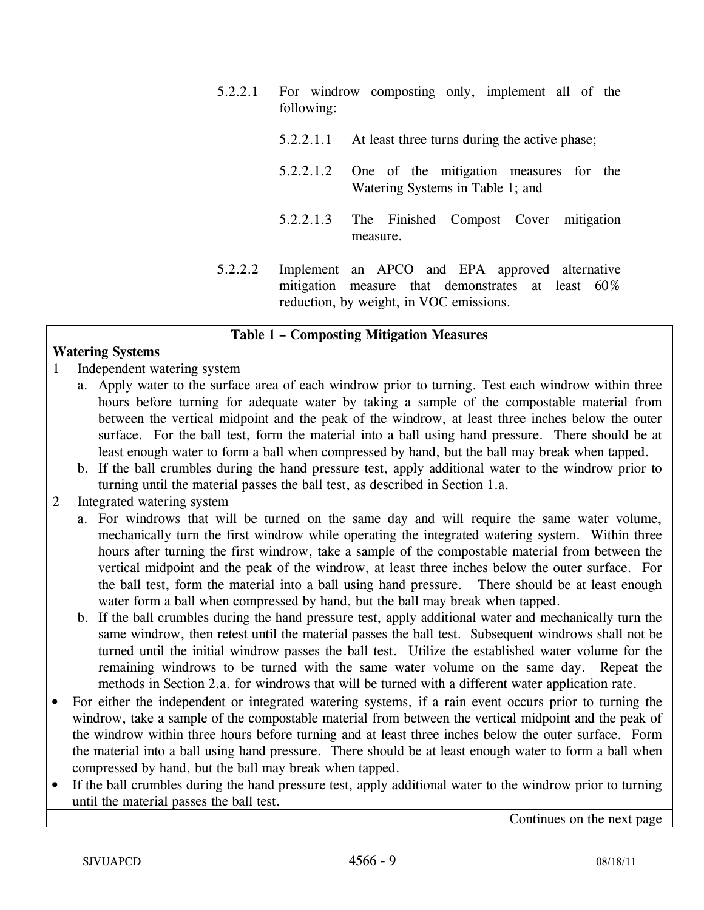- 5.2.2.1 For windrow composting only, implement all of the following:
	- 5.2.2.1.1 At least three turns during the active phase;
	- 5.2.2.1.2 One of the mitigation measures for the Watering Systems in Table 1; and
	- 5.2.2.1.3 The Finished Compost Cover mitigation measure.
- 5.2.2.2 Implement an APCO and EPA approved alternative mitigation measure that demonstrates at least 60% reduction, by weight, in VOC emissions.

| <b>Table 1 - Composting Mitigation Measures</b> |                                                                                                            |  |
|-------------------------------------------------|------------------------------------------------------------------------------------------------------------|--|
|                                                 | <b>Watering Systems</b>                                                                                    |  |
| $\mathbf{1}$                                    | Independent watering system                                                                                |  |
|                                                 | a. Apply water to the surface area of each windrow prior to turning. Test each windrow within three        |  |
|                                                 | hours before turning for adequate water by taking a sample of the compostable material from                |  |
|                                                 | between the vertical midpoint and the peak of the windrow, at least three inches below the outer           |  |
|                                                 | surface. For the ball test, form the material into a ball using hand pressure. There should be at          |  |
|                                                 | least enough water to form a ball when compressed by hand, but the ball may break when tapped.             |  |
|                                                 | b. If the ball crumbles during the hand pressure test, apply additional water to the windrow prior to      |  |
|                                                 | turning until the material passes the ball test, as described in Section 1.a.                              |  |
| $\overline{2}$                                  | Integrated watering system                                                                                 |  |
|                                                 | a. For windrows that will be turned on the same day and will require the same water volume,                |  |
|                                                 | mechanically turn the first windrow while operating the integrated watering system. Within three           |  |
|                                                 | hours after turning the first windrow, take a sample of the compostable material from between the          |  |
|                                                 | vertical midpoint and the peak of the windrow, at least three inches below the outer surface. For          |  |
|                                                 | the ball test, form the material into a ball using hand pressure. There should be at least enough          |  |
|                                                 | water form a ball when compressed by hand, but the ball may break when tapped.                             |  |
|                                                 | b. If the ball crumbles during the hand pressure test, apply additional water and mechanically turn the    |  |
|                                                 | same windrow, then retest until the material passes the ball test. Subsequent windrows shall not be        |  |
|                                                 | turned until the initial windrow passes the ball test. Utilize the established water volume for the        |  |
|                                                 | remaining windrows to be turned with the same water volume on the same day. Repeat the                     |  |
|                                                 | methods in Section 2.a. for windrows that will be turned with a different water application rate.          |  |
|                                                 | For either the independent or integrated watering systems, if a rain event occurs prior to turning the     |  |
|                                                 | windrow, take a sample of the compostable material from between the vertical midpoint and the peak of      |  |
|                                                 | the windrow within three hours before turning and at least three inches below the outer surface. Form      |  |
|                                                 | the material into a ball using hand pressure. There should be at least enough water to form a ball when    |  |
|                                                 | compressed by hand, but the ball may break when tapped.                                                    |  |
| $\bullet$                                       | If the ball crumbles during the hand pressure test, apply additional water to the windrow prior to turning |  |
|                                                 | until the material passes the ball test.                                                                   |  |

Continues on the next page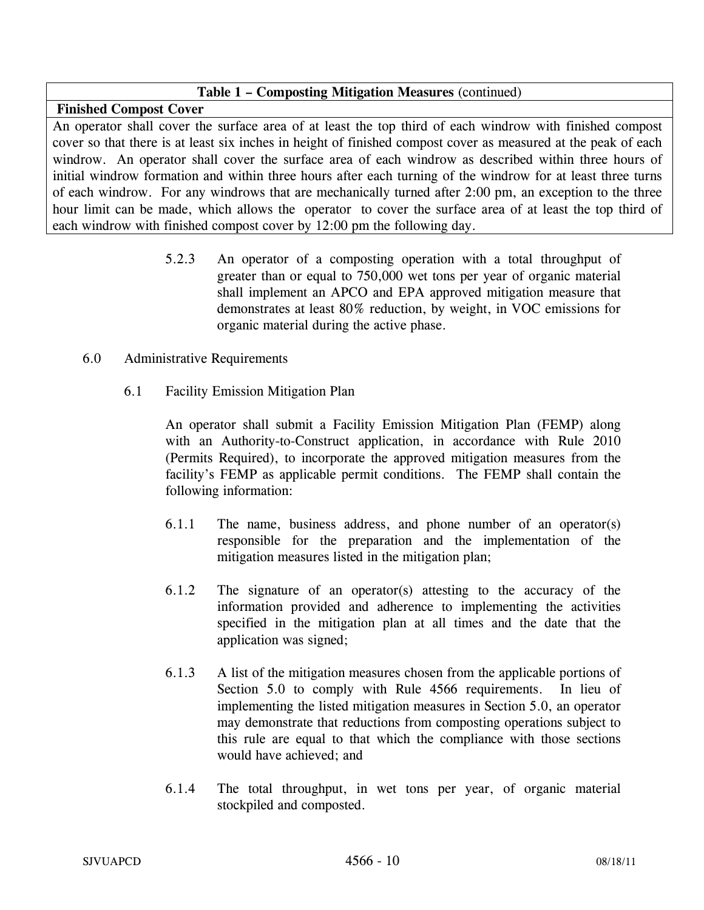## **Table 1 – Composting Mitigation Measures** (continued)

**Finished Compost Cover** 

An operator shall cover the surface area of at least the top third of each windrow with finished compost cover so that there is at least six inches in height of finished compost cover as measured at the peak of each windrow. An operator shall cover the surface area of each windrow as described within three hours of initial windrow formation and within three hours after each turning of the windrow for at least three turns of each windrow. For any windrows that are mechanically turned after 2:00 pm, an exception to the three hour limit can be made, which allows the operator to cover the surface area of at least the top third of each windrow with finished compost cover by 12:00 pm the following day.

> 5.2.3 An operator of a composting operation with a total throughput of greater than or equal to 750,000 wet tons per year of organic material shall implement an APCO and EPA approved mitigation measure that demonstrates at least 80% reduction, by weight, in VOC emissions for organic material during the active phase.

### 6.0 Administrative Requirements

6.1 Facility Emission Mitigation Plan

An operator shall submit a Facility Emission Mitigation Plan (FEMP) along with an Authority-to-Construct application, in accordance with Rule 2010 (Permits Required), to incorporate the approved mitigation measures from the facility's FEMP as applicable permit conditions. The FEMP shall contain the following information:

- 6.1.1 The name, business address, and phone number of an operator(s) responsible for the preparation and the implementation of the mitigation measures listed in the mitigation plan;
- 6.1.2 The signature of an operator(s) attesting to the accuracy of the information provided and adherence to implementing the activities specified in the mitigation plan at all times and the date that the application was signed;
- 6.1.3 A list of the mitigation measures chosen from the applicable portions of Section 5.0 to comply with Rule 4566 requirements. In lieu of implementing the listed mitigation measures in Section 5.0, an operator may demonstrate that reductions from composting operations subject to this rule are equal to that which the compliance with those sections would have achieved; and
- 6.1.4 The total throughput, in wet tons per year, of organic material stockpiled and composted.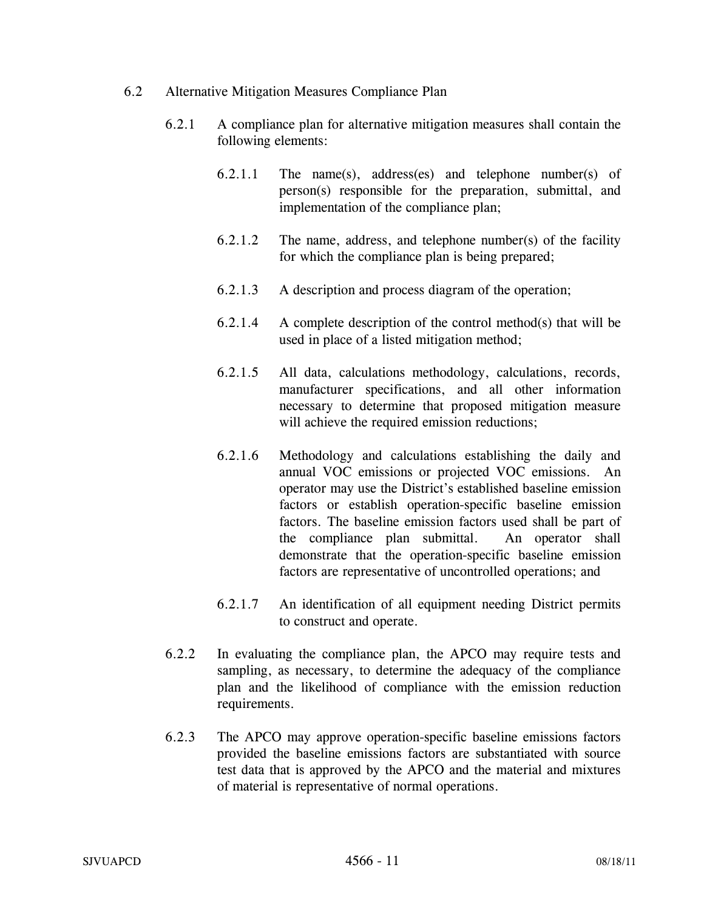- 6.2 Alternative Mitigation Measures Compliance Plan
	- 6.2.1 A compliance plan for alternative mitigation measures shall contain the following elements:
		- 6.2.1.1 The name(s), address(es) and telephone number(s) of person(s) responsible for the preparation, submittal, and implementation of the compliance plan;
		- 6.2.1.2 The name, address, and telephone number(s) of the facility for which the compliance plan is being prepared;
		- 6.2.1.3 A description and process diagram of the operation;
		- $6.2.1.4$  A complete description of the control method(s) that will be used in place of a listed mitigation method;
		- 6.2.1.5 All data, calculations methodology, calculations, records, manufacturer specifications, and all other information necessary to determine that proposed mitigation measure will achieve the required emission reductions;
		- 6.2.1.6 Methodology and calculations establishing the daily and annual VOC emissions or projected VOC emissions. An operator may use the District's established baseline emission factors or establish operation-specific baseline emission factors. The baseline emission factors used shall be part of the compliance plan submittal. An operator shall demonstrate that the operation-specific baseline emission factors are representative of uncontrolled operations; and
		- 6.2.1.7 An identification of all equipment needing District permits to construct and operate.
	- 6.2.2 In evaluating the compliance plan, the APCO may require tests and sampling, as necessary, to determine the adequacy of the compliance plan and the likelihood of compliance with the emission reduction requirements.
	- 6.2.3 The APCO may approve operation-specific baseline emissions factors provided the baseline emissions factors are substantiated with source test data that is approved by the APCO and the material and mixtures of material is representative of normal operations.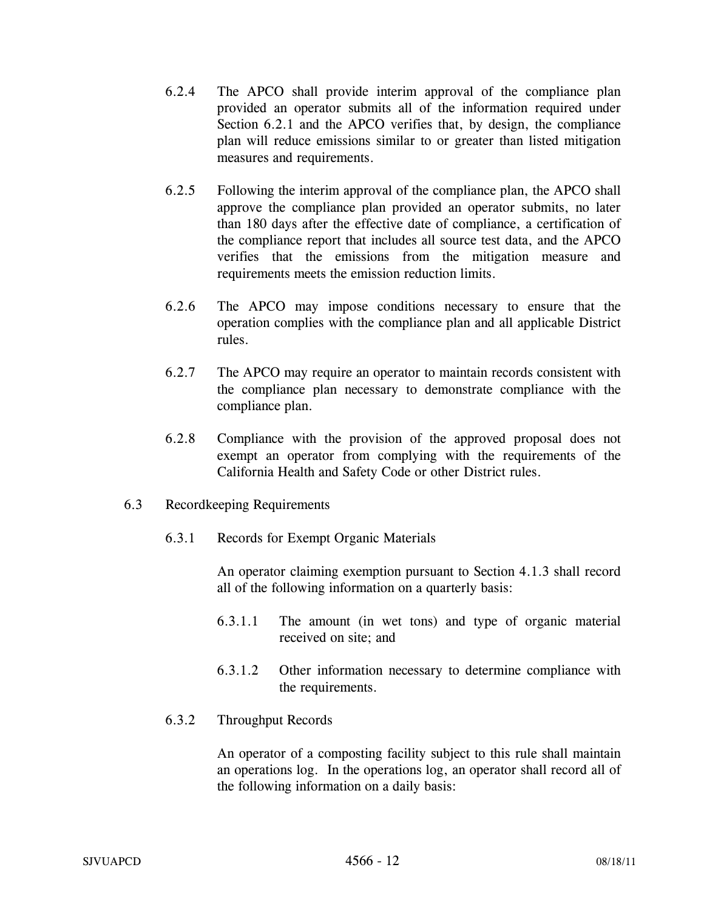- 6.2.4 The APCO shall provide interim approval of the compliance plan provided an operator submits all of the information required under Section 6.2.1 and the APCO verifies that, by design, the compliance plan will reduce emissions similar to or greater than listed mitigation measures and requirements.
- 6.2.5 Following the interim approval of the compliance plan, the APCO shall approve the compliance plan provided an operator submits, no later than 180 days after the effective date of compliance, a certification of the compliance report that includes all source test data, and the APCO verifies that the emissions from the mitigation measure and requirements meets the emission reduction limits.
- 6.2.6 The APCO may impose conditions necessary to ensure that the operation complies with the compliance plan and all applicable District rules.
- 6.2.7 The APCO may require an operator to maintain records consistent with the compliance plan necessary to demonstrate compliance with the compliance plan.
- 6.2.8 Compliance with the provision of the approved proposal does not exempt an operator from complying with the requirements of the California Health and Safety Code or other District rules.
- 6.3 Recordkeeping Requirements
	- 6.3.1 Records for Exempt Organic Materials

An operator claiming exemption pursuant to Section 4.1.3 shall record all of the following information on a quarterly basis:

- 6.3.1.1 The amount (in wet tons) and type of organic material received on site; and
- 6.3.1.2 Other information necessary to determine compliance with the requirements.
- 6.3.2 Throughput Records

An operator of a composting facility subject to this rule shall maintain an operations log. In the operations log, an operator shall record all of the following information on a daily basis: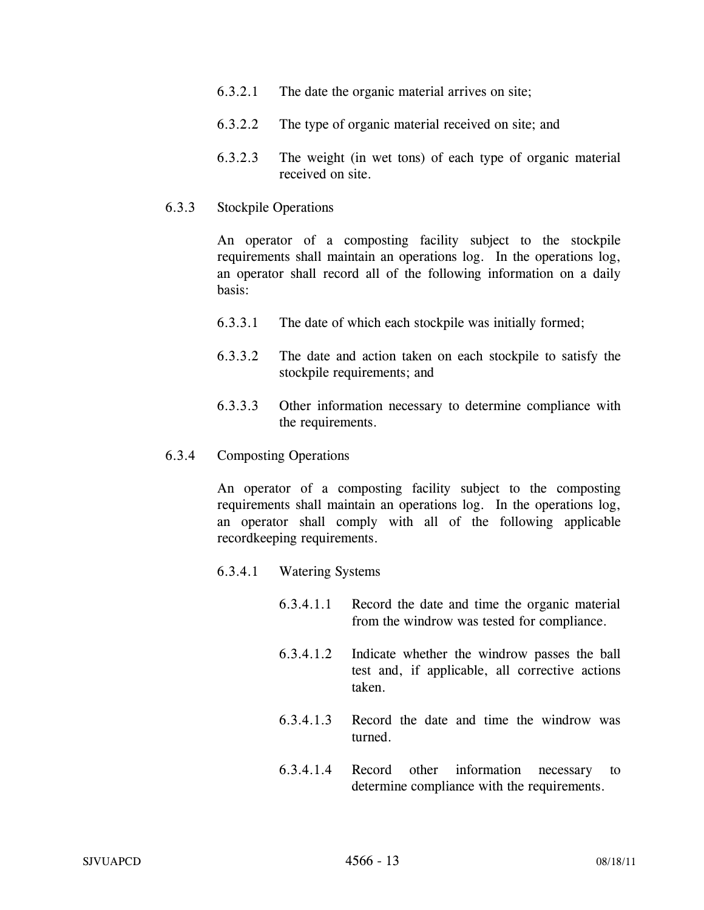- 6.3.2.1 The date the organic material arrives on site;
- 6.3.2.2 The type of organic material received on site; and
- 6.3.2.3 The weight (in wet tons) of each type of organic material received on site.

### 6.3.3 Stockpile Operations

An operator of a composting facility subject to the stockpile requirements shall maintain an operations log. In the operations log, an operator shall record all of the following information on a daily basis:

- 6.3.3.1 The date of which each stockpile was initially formed;
- 6.3.3.2 The date and action taken on each stockpile to satisfy the stockpile requirements; and
- 6.3.3.3 Other information necessary to determine compliance with the requirements.

#### 6.3.4 Composting Operations

An operator of a composting facility subject to the composting requirements shall maintain an operations log. In the operations log, an operator shall comply with all of the following applicable recordkeeping requirements.

- 6.3.4.1 Watering Systems
	- 6.3.4.1.1 Record the date and time the organic material from the windrow was tested for compliance.
	- 6.3.4.1.2 Indicate whether the windrow passes the ball test and, if applicable, all corrective actions taken.
	- 6.3.4.1.3 Record the date and time the windrow was turned.
	- 6.3.4.1.4 Record other information necessary to determine compliance with the requirements.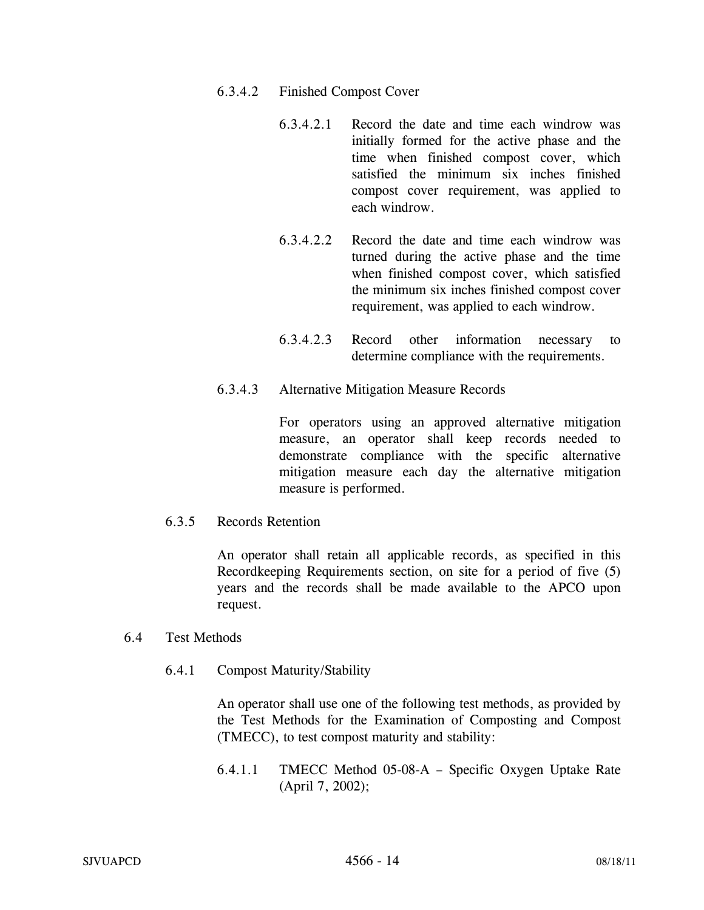- 6.3.4.2 Finished Compost Cover
	- 6.3.4.2.1 Record the date and time each windrow was initially formed for the active phase and the time when finished compost cover, which satisfied the minimum six inches finished compost cover requirement, was applied to each windrow.
	- 6.3.4.2.2 Record the date and time each windrow was turned during the active phase and the time when finished compost cover, which satisfied the minimum six inches finished compost cover requirement, was applied to each windrow.
	- 6.3.4.2.3 Record other information necessary to determine compliance with the requirements.
- 6.3.4.3 Alternative Mitigation Measure Records

For operators using an approved alternative mitigation measure, an operator shall keep records needed to demonstrate compliance with the specific alternative mitigation measure each day the alternative mitigation measure is performed.

6.3.5 Records Retention

An operator shall retain all applicable records, as specified in this Recordkeeping Requirements section, on site for a period of five (5) years and the records shall be made available to the APCO upon request.

### 6.4 Test Methods

6.4.1 Compost Maturity/Stability

An operator shall use one of the following test methods, as provided by the Test Methods for the Examination of Composting and Compost (TMECC), to test compost maturity and stability:

6.4.1.1 TMECC Method 05-08-A – Specific Oxygen Uptake Rate (April 7, 2002);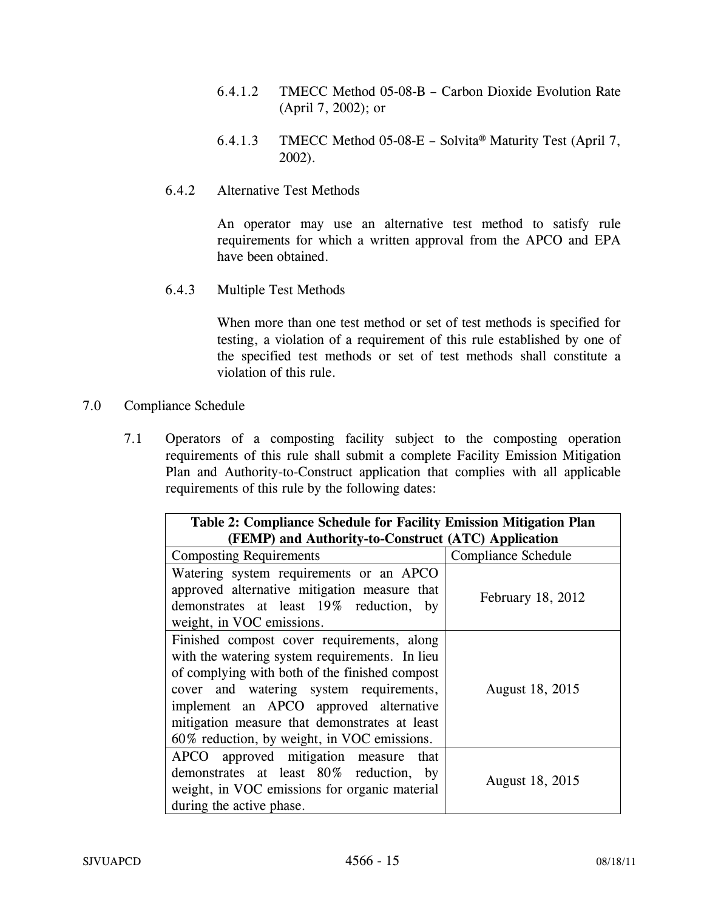- 6.4.1.2 TMECC Method 05-08-B Carbon Dioxide Evolution Rate (April 7, 2002); or
- 6.4.1.3 TMECC Method 05-08-E Solvita® Maturity Test (April 7, 2002).
- 6.4.2 Alternative Test Methods

An operator may use an alternative test method to satisfy rule requirements for which a written approval from the APCO and EPA have been obtained.

6.4.3 Multiple Test Methods

When more than one test method or set of test methods is specified for testing, a violation of a requirement of this rule established by one of the specified test methods or set of test methods shall constitute a violation of this rule.

- 7.0 Compliance Schedule
	- 7.1 Operators of a composting facility subject to the composting operation requirements of this rule shall submit a complete Facility Emission Mitigation Plan and Authority-to-Construct application that complies with all applicable requirements of this rule by the following dates:

| Table 2: Compliance Schedule for Facility Emission Mitigation Plan<br>(FEMP) and Authority-to-Construct (ATC) Application                                                                                                                                                                                                           |                     |  |
|-------------------------------------------------------------------------------------------------------------------------------------------------------------------------------------------------------------------------------------------------------------------------------------------------------------------------------------|---------------------|--|
| <b>Composting Requirements</b>                                                                                                                                                                                                                                                                                                      | Compliance Schedule |  |
| Watering system requirements or an APCO<br>approved alternative mitigation measure that<br>demonstrates at least 19% reduction,<br>by<br>weight, in VOC emissions.                                                                                                                                                                  | February 18, 2012   |  |
| Finished compost cover requirements, along<br>with the watering system requirements. In lieu<br>of complying with both of the finished compost<br>cover and watering system requirements,<br>implement an APCO approved alternative<br>mitigation measure that demonstrates at least<br>60% reduction, by weight, in VOC emissions. | August 18, 2015     |  |
| APCO approved mitigation measure that<br>demonstrates at least 80% reduction,<br>by<br>weight, in VOC emissions for organic material<br>during the active phase.                                                                                                                                                                    | August 18, 2015     |  |